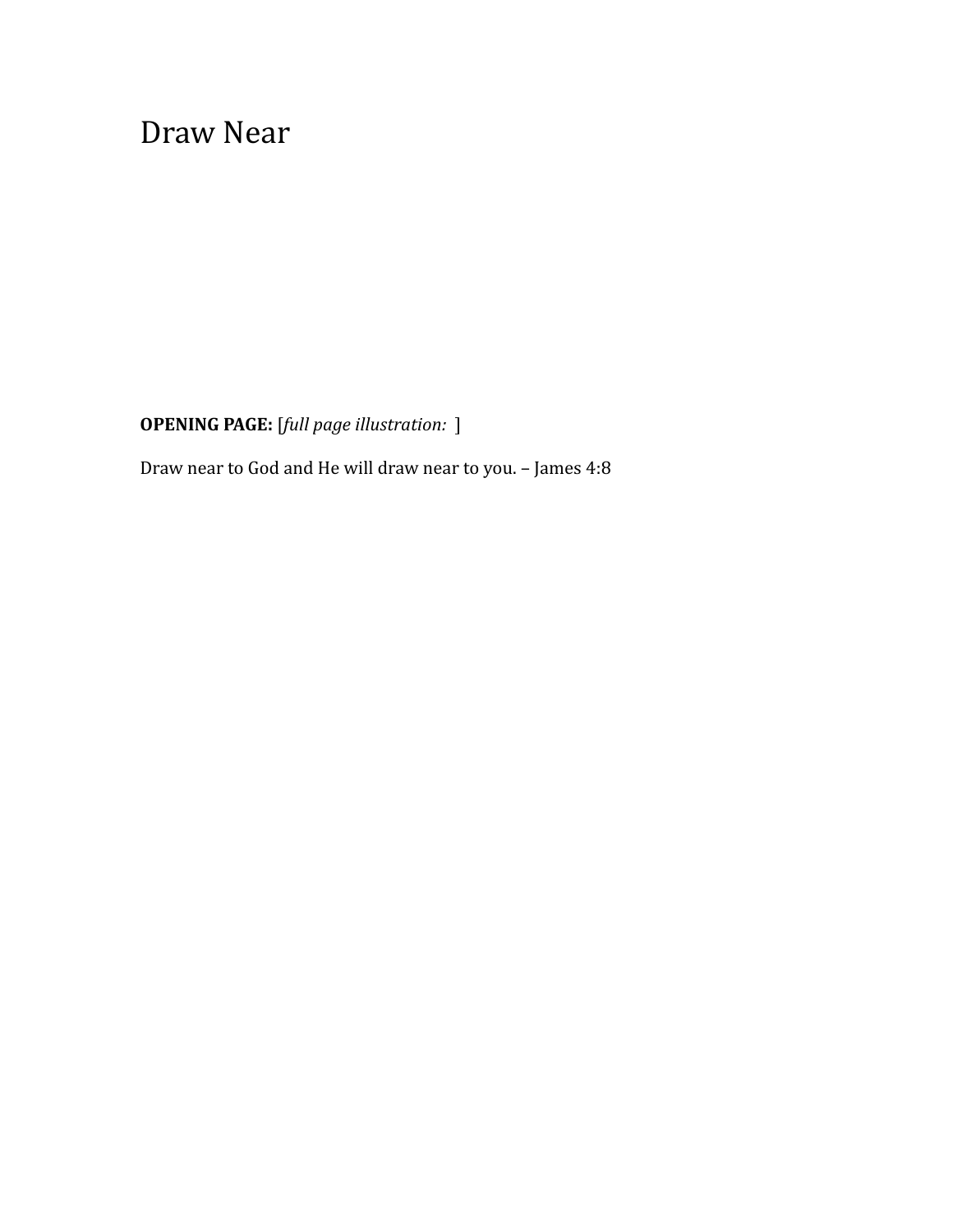Draw Near

**OPENING PAGE:** [*full page illustration:* ]

Draw near to God and He will draw near to you. – James 4:8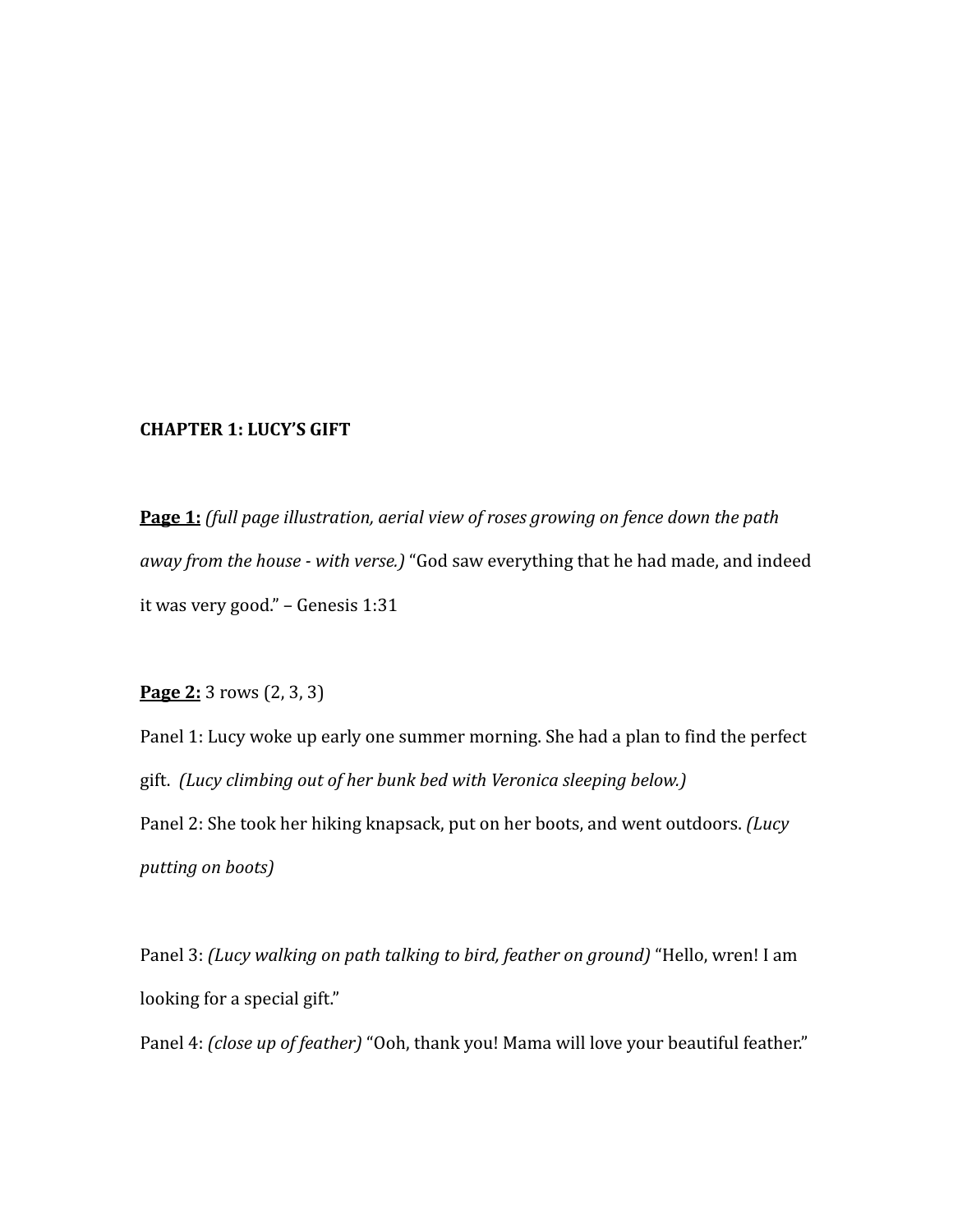## **CHAPTER 1: LUCY'S GIFT**

**Page 1:** *(full page illustration, aerial view of roses growing on fence down the path away from the house - with verse.)* "God saw everything that he had made, and indeed it was very good." – Genesis 1:31

**Page 2:** 3 rows (2, 3, 3)

Panel 1: Lucy woke up early one summer morning. She had a plan to find the perfect gift. *(Lucy climbing out of her bunk bed with Veronica sleeping below.)* Panel 2: She took her hiking knapsack, put on her boots, and went outdoors. *(Lucy putting on boots)*

Panel 3: *(Lucy walking on path talking to bird, feather on ground)* "Hello, wren! I am looking for a special gift."

Panel 4: *(close up of feather)* "Ooh, thank you! Mama will love your beautiful feather."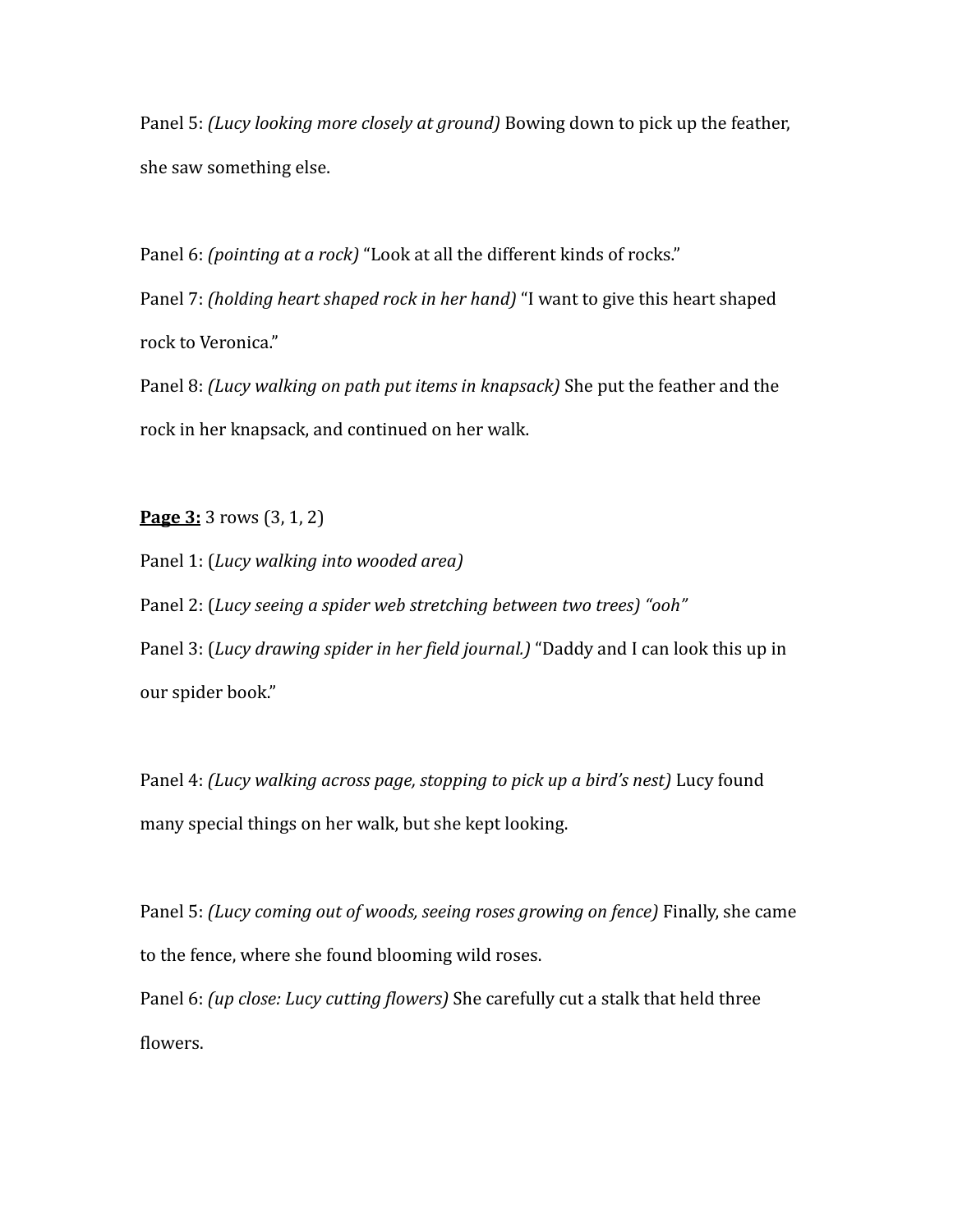Panel 5: *(Lucy looking more closely at ground)* Bowing down to pick up the feather, she saw something else.

Panel 6: *(pointing at a rock)* "Look at all the different kinds of rocks."

Panel 7: *(holding heart shaped rock in her hand)* "I want to give this heart shaped rock to Veronica."

Panel 8: *(Lucy walking on path put items in knapsack)* She put the feather and the rock in her knapsack, and continued on her walk.

**Page 3:** 3 rows (3, 1, 2)

Panel 1: (*Lucy walking into wooded area)*

Panel 2: (*Lucy seeing a spider web stretching between two trees) "ooh"* Panel 3: (*Lucy drawing spider in her field journal.)* "Daddy and I can look this up in our spider book."

Panel 4: *(Lucy walking across page, stopping to pick up a bird's nest)* Lucy found many special things on her walk, but she kept looking.

Panel 5: *(Lucy coming out of woods, seeing roses growing on fence)* Finally, she came to the fence, where she found blooming wild roses.

Panel 6: *(up close: Lucy cutting flowers)* She carefully cut a stalk that held three flowers.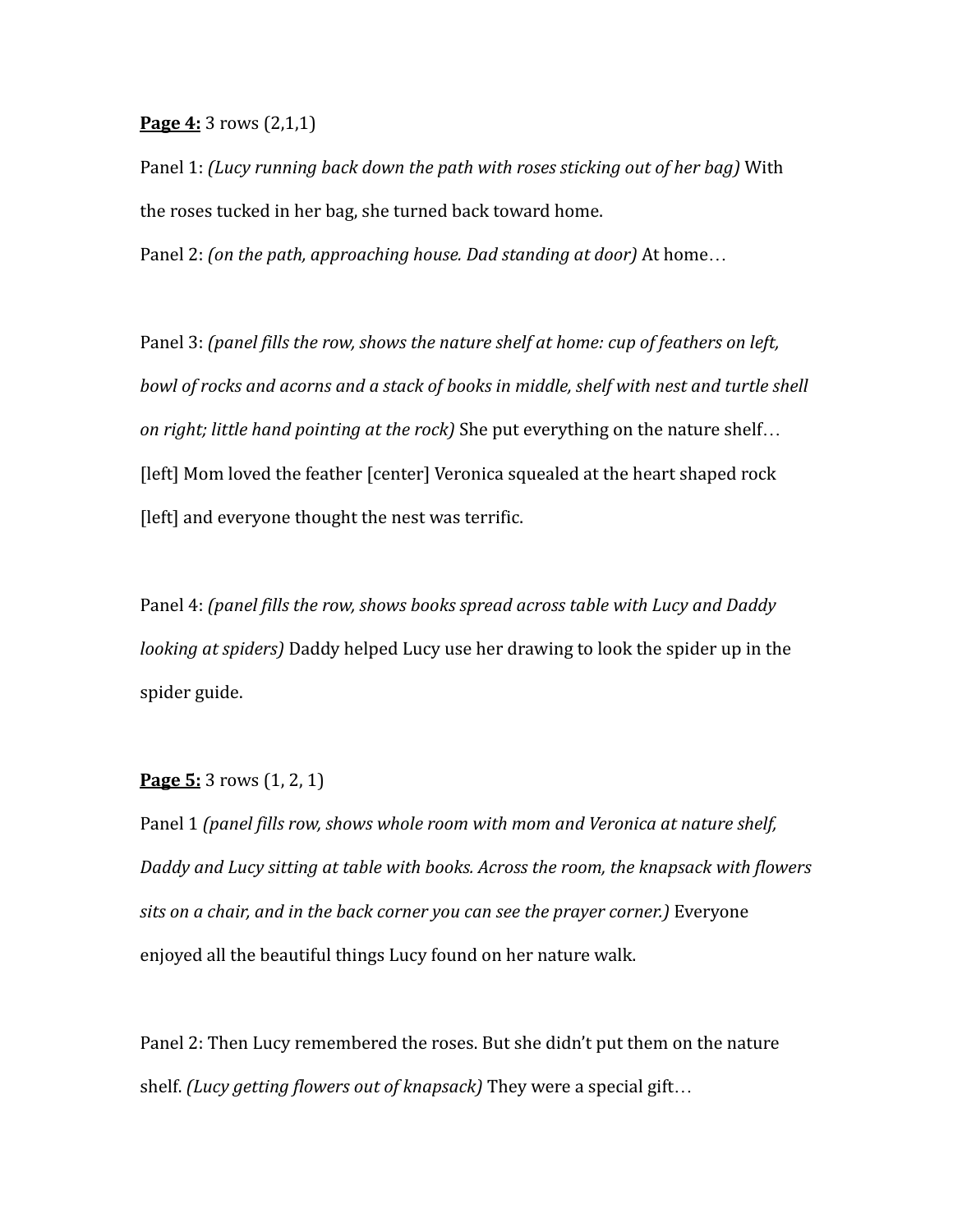**Page 4:** 3 rows (2,1,1)

Panel 1: *(Lucy running back down the path with roses sticking out of her bag)* With the roses tucked in her bag, she turned back toward home.

Panel 2: *(on the path, approaching house. Dad standing at door)* At home…

Panel 3: *(panel fills the row, shows the nature shelf at home: cup of feathers on left, bowl of rocks and acorns and a stack of books in middle, shelf with nest and turtle shell on right; little hand pointing at the rock)* She put everything on the nature shelf… [left] Mom loved the feather [center] Veronica squealed at the heart shaped rock [left] and everyone thought the nest was terrific.

Panel 4: *(panel fills the row, shows books spread across table with Lucy and Daddy looking at spiders)* Daddy helped Lucy use her drawing to look the spider up in the spider guide.

## **Page 5:** 3 rows (1, 2, 1)

Panel 1 *(panel fills row, shows whole room with mom and Veronica at nature shelf, Daddy and Lucy sitting at table with books. Across the room, the knapsack with flowers sits on a chair, and in the back corner you can see the prayer corner.)* Everyone enjoyed all the beautiful things Lucy found on her nature walk.

Panel 2: Then Lucy remembered the roses. But she didn't put them on the nature shelf. *(Lucy getting flowers out of knapsack)* They were a special gift…